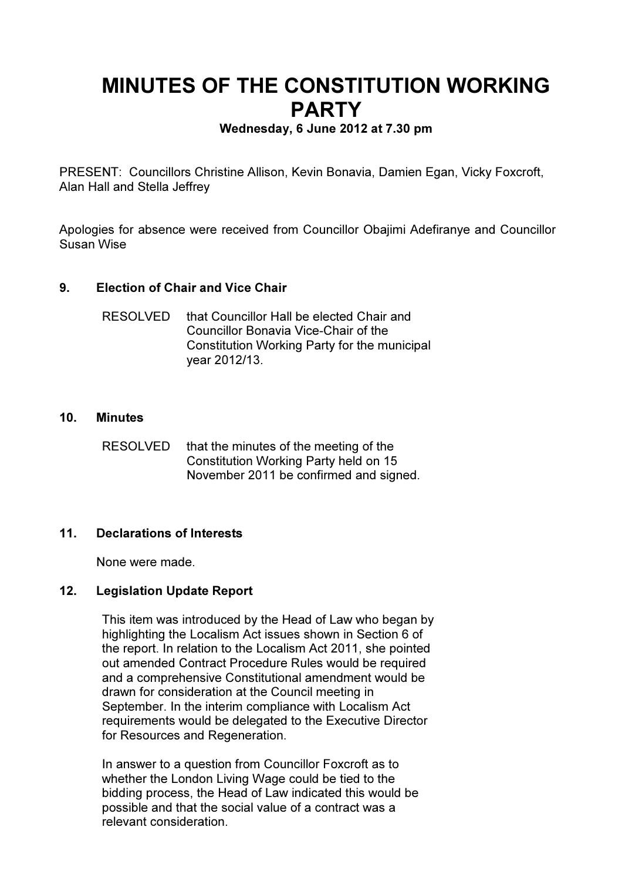# MINUTES OF THE CONSTITUTION WORKING **PARTY**

## Wednesday, 6 June 2012 at 7.30 pm

PRESENT: Councillors Christine Allison, Kevin Bonavia, Damien Egan, Vicky Foxcroft, Alan Hall and Stella Jeffrey

Apologies for absence were received from Councillor Obajimi Adefiranye and Councillor Susan Wise

## 9. Election of Chair and Vice Chair

| <b>RESOLVED</b> | that Councillor Hall be elected Chair and    |
|-----------------|----------------------------------------------|
|                 | Councillor Bonavia Vice-Chair of the         |
|                 | Constitution Working Party for the municipal |
|                 | year 2012/13.                                |

#### 10. Minutes

RESOLVED that the minutes of the meeting of the Constitution Working Party held on 15 November 2011 be confirmed and signed.

## 11. Declarations of Interests

None were made.

## 12. Legislation Update Report

This item was introduced by the Head of Law who began by highlighting the Localism Act issues shown in Section 6 of the report. In relation to the Localism Act 2011, she pointed out amended Contract Procedure Rules would be required and a comprehensive Constitutional amendment would be drawn for consideration at the Council meeting in September. In the interim compliance with Localism Act requirements would be delegated to the Executive Director for Resources and Regeneration.

In answer to a question from Councillor Foxcroft as to whether the London Living Wage could be tied to the bidding process, the Head of Law indicated this would be possible and that the social value of a contract was a relevant consideration.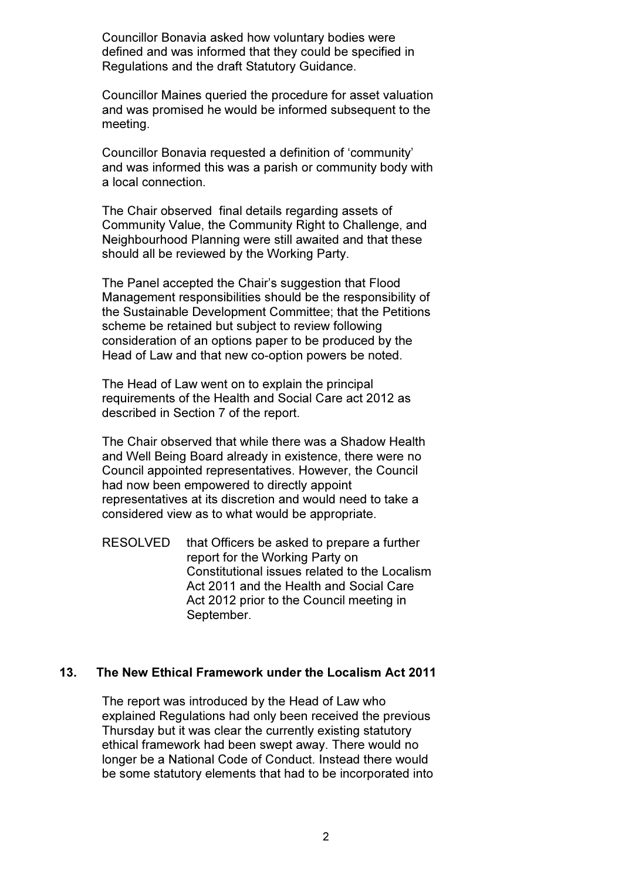Councillor Bonavia asked how voluntary bodies were defined and was informed that they could be specified in Regulations and the draft Statutory Guidance.

Councillor Maines queried the procedure for asset valuation and was promised he would be informed subsequent to the meeting.

Councillor Bonavia requested a definition of 'community' and was informed this was a parish or community body with a local connection.

The Chair observed final details regarding assets of Community Value, the Community Right to Challenge, and Neighbourhood Planning were still awaited and that these should all be reviewed by the Working Party.

The Panel accepted the Chair's suggestion that Flood Management responsibilities should be the responsibility of the Sustainable Development Committee; that the Petitions scheme be retained but subject to review following consideration of an options paper to be produced by the Head of Law and that new co-option powers be noted.

The Head of Law went on to explain the principal requirements of the Health and Social Care act 2012 as described in Section 7 of the report.

The Chair observed that while there was a Shadow Health and Well Being Board already in existence, there were no Council appointed representatives. However, the Council had now been empowered to directly appoint representatives at its discretion and would need to take a considered view as to what would be appropriate.

RESOLVED that Officers be asked to prepare a further report for the Working Party on Constitutional issues related to the Localism Act 2011 and the Health and Social Care Act 2012 prior to the Council meeting in September.

#### 13. The New Ethical Framework under the Localism Act 2011

The report was introduced by the Head of Law who explained Regulations had only been received the previous Thursday but it was clear the currently existing statutory ethical framework had been swept away. There would no longer be a National Code of Conduct. Instead there would be some statutory elements that had to be incorporated into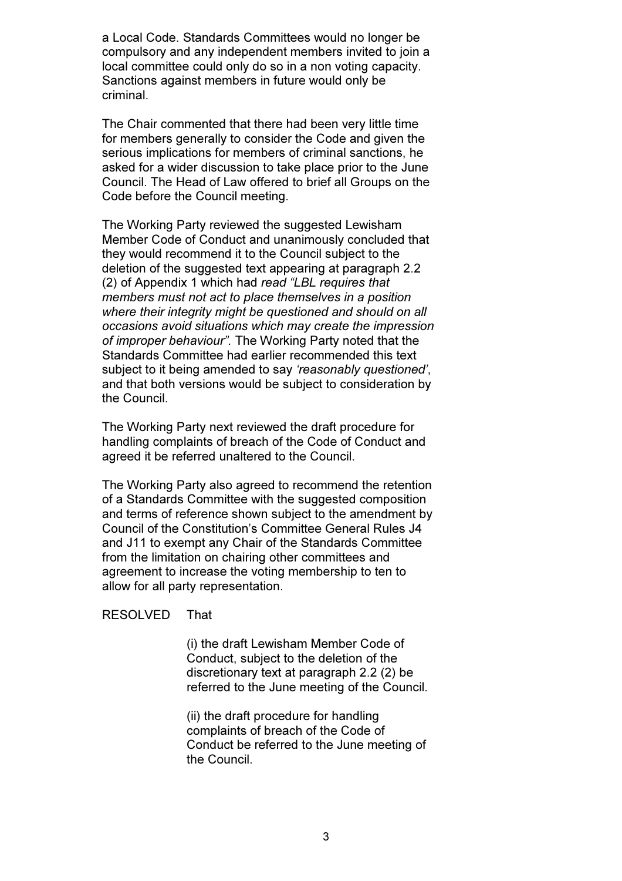a Local Code. Standards Committees would no longer be compulsory and any independent members invited to join a local committee could only do so in a non voting capacity. Sanctions against members in future would only be criminal.

The Chair commented that there had been very little time for members generally to consider the Code and given the serious implications for members of criminal sanctions, he asked for a wider discussion to take place prior to the June Council. The Head of Law offered to brief all Groups on the Code before the Council meeting.

The Working Party reviewed the suggested Lewisham Member Code of Conduct and unanimously concluded that they would recommend it to the Council subject to the deletion of the suggested text appearing at paragraph 2.2 (2) of Appendix 1 which had read "LBL requires that members must not act to place themselves in a position where their integrity might be questioned and should on all occasions avoid situations which may create the impression of improper behaviour". The Working Party noted that the Standards Committee had earlier recommended this text subject to it being amended to say 'reasonably questioned', and that both versions would be subject to consideration by the Council.

The Working Party next reviewed the draft procedure for handling complaints of breach of the Code of Conduct and agreed it be referred unaltered to the Council.

The Working Party also agreed to recommend the retention of a Standards Committee with the suggested composition and terms of reference shown subject to the amendment by Council of the Constitution's Committee General Rules J4 and J11 to exempt any Chair of the Standards Committee from the limitation on chairing other committees and agreement to increase the voting membership to ten to allow for all party representation.

#### RESOLVED That

 (i) the draft Lewisham Member Code of Conduct, subject to the deletion of the discretionary text at paragraph 2.2 (2) be referred to the June meeting of the Council.

 (ii) the draft procedure for handling complaints of breach of the Code of Conduct be referred to the June meeting of the Council.